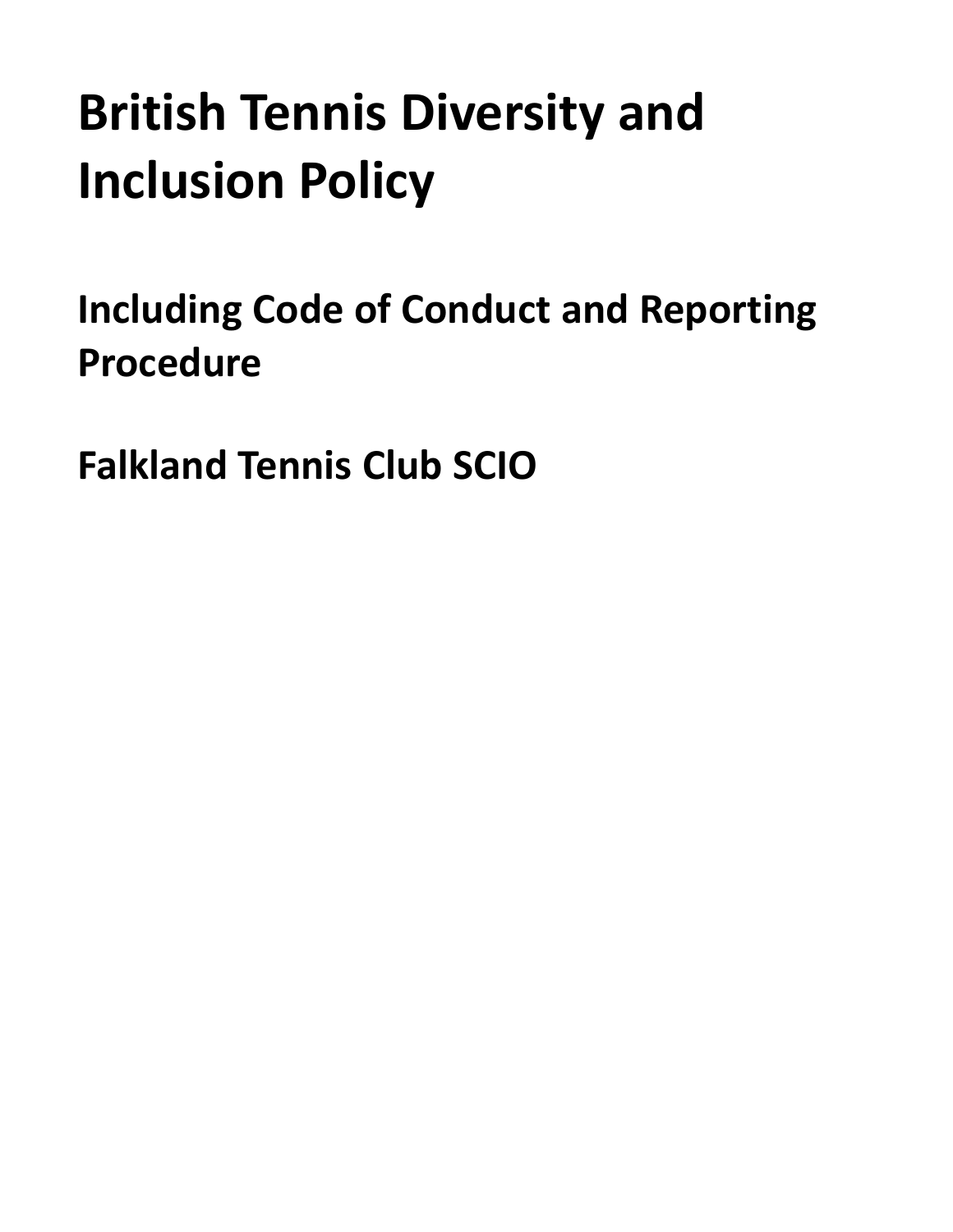# **British Tennis Diversity and Inclusion Policy**

<span id="page-0-0"></span>**Including Code of Conduct and Reporting Procedure**

**Falkland Tennis Club SCIO**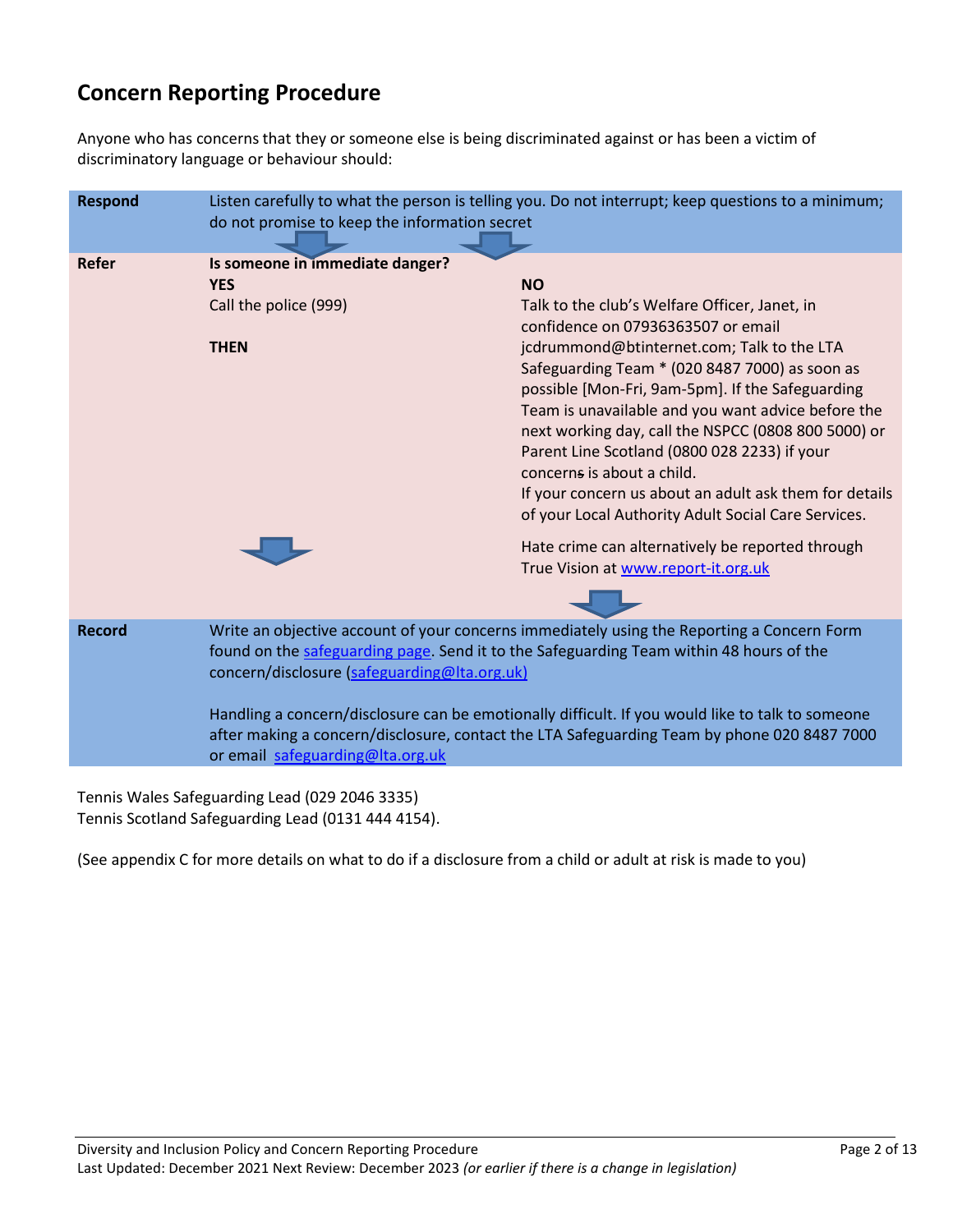### **Concern Reporting Procedure**

Anyone who has concerns that they or someone else is being discriminated against or has been a victim of discriminatory language or behaviour should:

| <b>Respond</b> | Listen carefully to what the person is telling you. Do not interrupt; keep questions to a minimum;<br>do not promise to keep the information secret                                                                                                                                                                                                                                                                                                                          |                                                                                                                                                                                                                                                                                                                                                                                                                                                                                                                                                                                                                                                             |
|----------------|------------------------------------------------------------------------------------------------------------------------------------------------------------------------------------------------------------------------------------------------------------------------------------------------------------------------------------------------------------------------------------------------------------------------------------------------------------------------------|-------------------------------------------------------------------------------------------------------------------------------------------------------------------------------------------------------------------------------------------------------------------------------------------------------------------------------------------------------------------------------------------------------------------------------------------------------------------------------------------------------------------------------------------------------------------------------------------------------------------------------------------------------------|
| Refer          | Is someone in immediate danger?<br><b>YES</b><br>Call the police (999)<br><b>THEN</b>                                                                                                                                                                                                                                                                                                                                                                                        | <b>NO</b><br>Talk to the club's Welfare Officer, Janet, in<br>confidence on 07936363507 or email<br>jcdrummond@btinternet.com; Talk to the LTA<br>Safeguarding Team * (020 8487 7000) as soon as<br>possible [Mon-Fri, 9am-5pm]. If the Safeguarding<br>Team is unavailable and you want advice before the<br>next working day, call the NSPCC (0808 800 5000) or<br>Parent Line Scotland (0800 028 2233) if your<br>concerns is about a child.<br>If your concern us about an adult ask them for details<br>of your Local Authority Adult Social Care Services.<br>Hate crime can alternatively be reported through<br>True Vision at www.report-it.org.uk |
| <b>Record</b>  | Write an objective account of your concerns immediately using the Reporting a Concern Form<br>found on the safeguarding page. Send it to the Safeguarding Team within 48 hours of the<br>concern/disclosure (safeguarding@Ita.org.uk)<br>Handling a concern/disclosure can be emotionally difficult. If you would like to talk to someone<br>after making a concern/disclosure, contact the LTA Safeguarding Team by phone 020 8487 7000<br>or email safeguarding@Ita.org.uk |                                                                                                                                                                                                                                                                                                                                                                                                                                                                                                                                                                                                                                                             |

Tennis Wales Safeguarding Lead (029 2046 3335) Tennis Scotland Safeguarding Lead (0131 444 4154).

(See appendix C for more details on what to do if a disclosure from a child or adult at risk is made to you)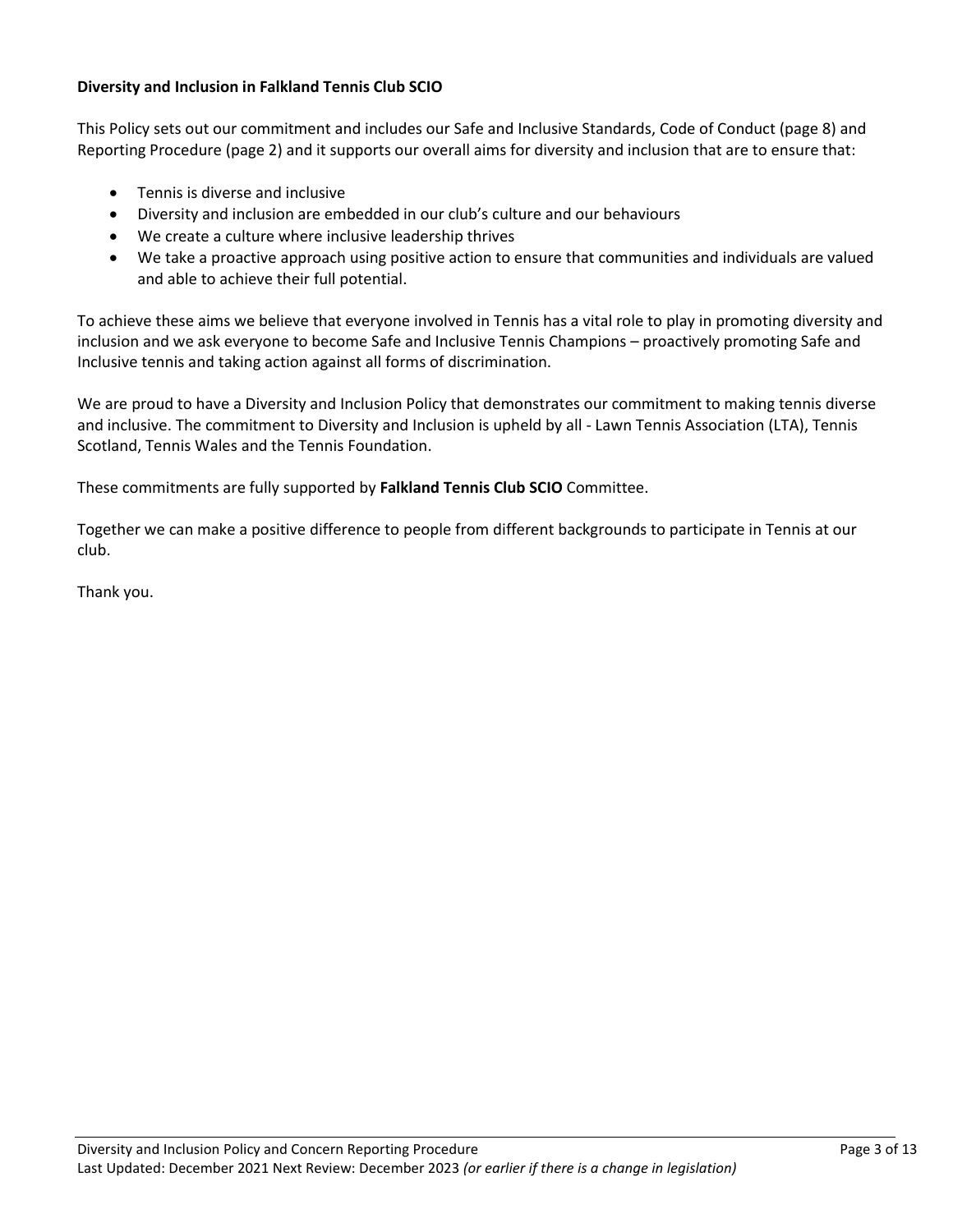#### **Diversity and Inclusion in Falkland Tennis Club SCIO**

This Policy sets out our commitment and includes our Safe and Inclusive Standards, Code of Conduct (page 8) and Reporting Procedure (page 2) and it supports our overall aims for diversity and inclusion that are to ensure that:

- Tennis is diverse and inclusive
- Diversity and inclusion are embedded in our club's culture and our behaviours
- We create a culture where inclusive leadership thrives
- We take a proactive approach using positive action to ensure that communities and individuals are valued and able to achieve their full potential.

To achieve these aims we believe that everyone involved in Tennis has a vital role to play in promoting diversity and inclusion and we ask everyone to become Safe and Inclusive Tennis Champions – proactively promoting Safe and Inclusive tennis and taking action against all forms of discrimination.

We are proud to have a Diversity and Inclusion Policy that demonstrates our commitment to making tennis diverse and inclusive. The commitment to Diversity and Inclusion is upheld by all - Lawn Tennis Association (LTA), Tennis Scotland, Tennis Wales and the Tennis Foundation.

These commitments are fully supported by **Falkland Tennis Club SCIO** Committee.

Together we can make a positive difference to people from different backgrounds to participate in Tennis at our club.

Thank you.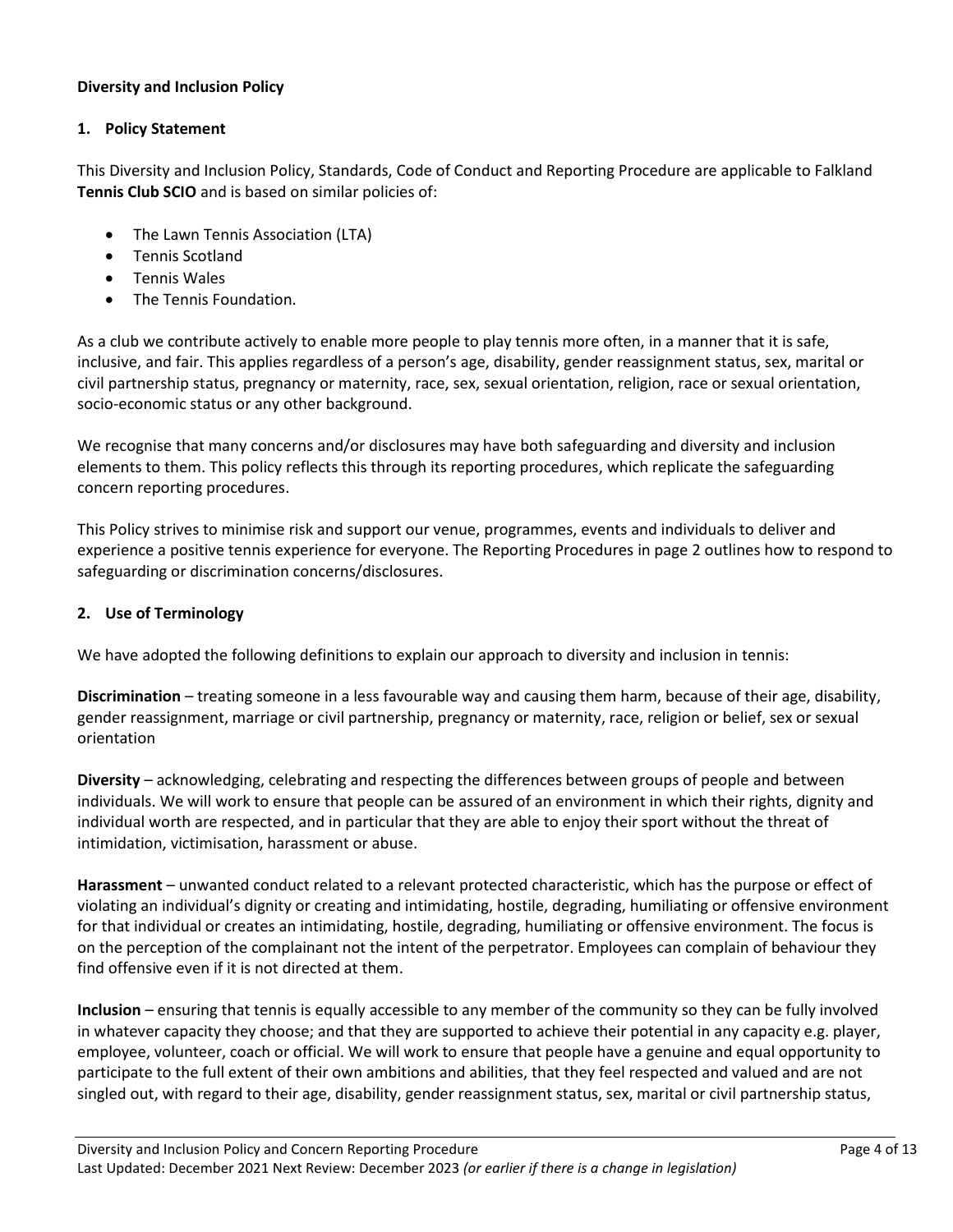#### **Diversity and Inclusion Policy**

#### **1. Policy Statement**

This Diversity and Inclusion Policy, Standards, Code of Conduct and Reporting Procedure are applicable to Falkland **Tennis Club SCIO** and is based on similar policies of:

- The Lawn Tennis Association (LTA)
- Tennis Scotland
- Tennis Wales
- The Tennis Foundation.

As a club we contribute actively to enable more people to play tennis more often, in a manner that it is safe, inclusive, and fair. This applies regardless of a person's age, disability, gender reassignment status, sex, marital or civil partnership status, pregnancy or maternity, race, sex, sexual orientation, religion, race or sexual orientation, socio-economic status or any other background.

We recognise that many concerns and/or disclosures may have both safeguarding and diversity and inclusion elements to them. This policy reflects this through its reporting procedures, which replicate the safeguarding concern reporting procedures.

This Policy strives to minimise risk and support our venue, programmes, events and individuals to deliver and experience a positive tennis experience for everyone. The Reporting Procedures in page 2 outlines how to respond to safeguarding or discrimination concerns/disclosures.

#### **2. Use of Terminology**

We have adopted the following definitions to explain our approach to diversity and inclusion in tennis:

**Discrimination** – treating someone in a less favourable way and causing them harm, because of their age, disability, gender reassignment, marriage or civil partnership, pregnancy or maternity, race, religion or belief, sex or sexual orientation

**Diversity** – acknowledging, celebrating and respecting the differences between groups of people and between individuals. We will work to ensure that people can be assured of an environment in which their rights, dignity and individual worth are respected, and in particular that they are able to enjoy their sport without the threat of intimidation, victimisation, harassment or abuse.

**Harassment** – unwanted conduct related to a relevant protected characteristic, which has the purpose or effect of violating an individual's dignity or creating and intimidating, hostile, degrading, humiliating or offensive environment for that individual or creates an intimidating, hostile, degrading, humiliating or offensive environment. The focus is on the perception of the complainant not the intent of the perpetrator. Employees can complain of behaviour they find offensive even if it is not directed at them.

**Inclusion** – ensuring that tennis is equally accessible to any member of the community so they can be fully involved in whatever capacity they choose; and that they are supported to achieve their potential in any capacity e.g. player, employee, volunteer, coach or official. We will work to ensure that people have a genuine and equal opportunity to participate to the full extent of their own ambitions and abilities, that they feel respected and valued and are not singled out, with regard to their age, disability, gender reassignment status, sex, marital or civil partnership status,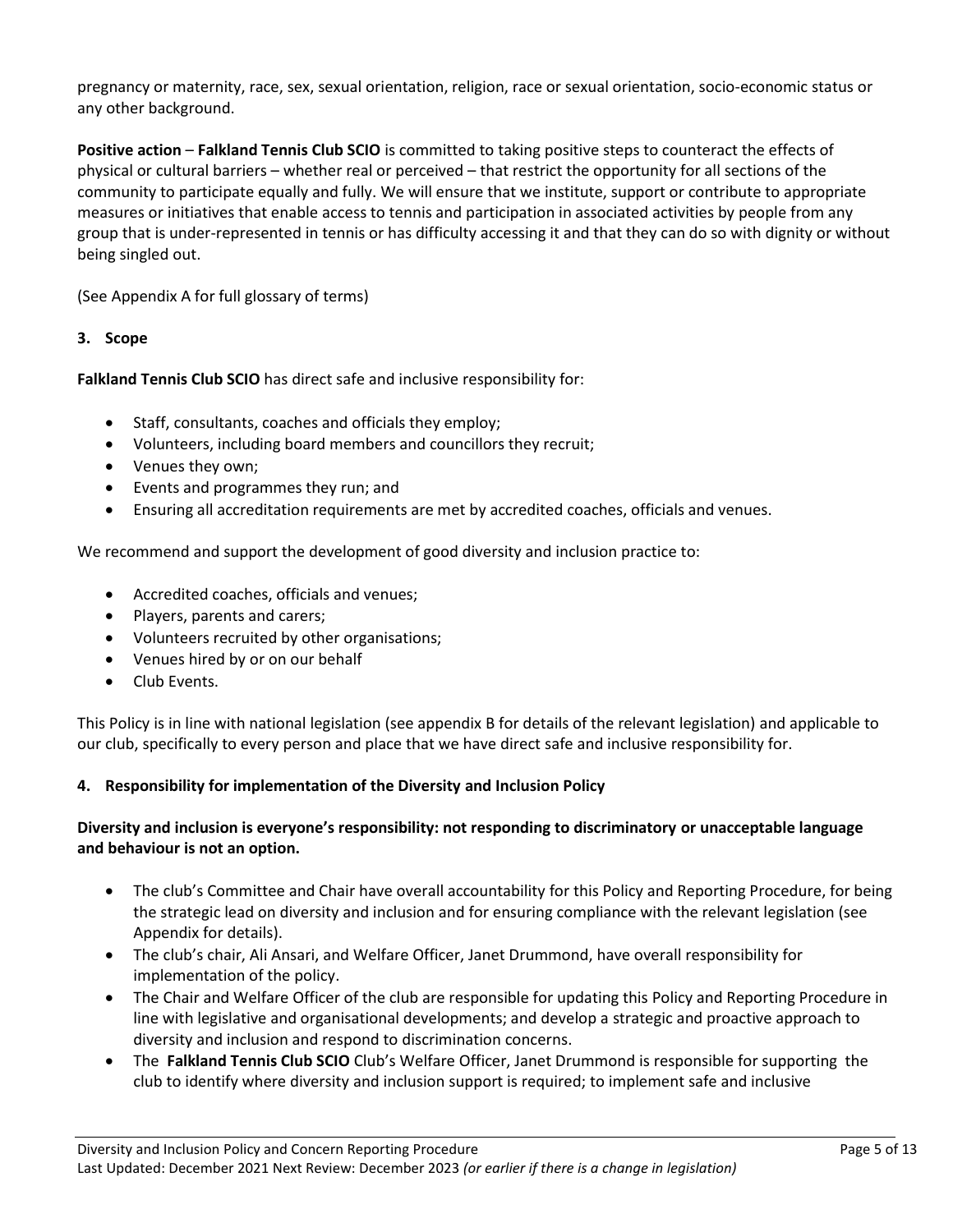pregnancy or maternity, race, sex, sexual orientation, religion, race or sexual orientation, socio-economic status or any other background.

**Positive action** – **Falkland Tennis Club SCIO** is committed to taking positive steps to counteract the effects of physical or cultural barriers – whether real or perceived – that restrict the opportunity for all sections of the community to participate equally and fully. We will ensure that we institute, support or contribute to appropriate measures or initiatives that enable access to tennis and participation in associated activities by people from any group that is under-represented in tennis or has difficulty accessing it and that they can do so with dignity or without being singled out.

(See Appendix A for full glossary of terms)

#### **3. Scope**

**Falkland Tennis Club SCIO** has direct safe and inclusive responsibility for:

- Staff, consultants, coaches and officials they employ;
- Volunteers, including board members and councillors they recruit;
- Venues they own;
- Events and programmes they run; and
- Ensuring all accreditation requirements are met by accredited coaches, officials and venues.

We recommend and support the development of good diversity and inclusion practice to:

- Accredited coaches, officials and venues;
- Players, parents and carers;
- Volunteers recruited by other organisations;
- Venues hired by or on our behalf
- Club Events.

This Policy is in line with national legislation (see appendix B for details of the relevant legislation) and applicable to our club, specifically to every person and place that we have direct safe and inclusive responsibility for.

#### **4. Responsibility for implementation of the Diversity and Inclusion Policy**

#### **Diversity and inclusion is everyone's responsibility: not responding to discriminatory or unacceptable language and behaviour is not an option.**

- The club's Committee and Chair have overall accountability for this Policy and Reporting Procedure, for being the strategic lead on diversity and inclusion and for ensuring compliance with the relevant legislation (see Appendix for details).
- The club's chair, Ali Ansari, and Welfare Officer, Janet Drummond, have overall responsibility for implementation of the policy.
- The Chair and Welfare Officer of the club are responsible for updating this Policy and Reporting Procedure in line with legislative and organisational developments; and develop a strategic and proactive approach to diversity and inclusion and respond to discrimination concerns.
- The **Falkland Tennis Club SCIO** Club's Welfare Officer, Janet Drummond is responsible for supporting the club to identify where diversity and inclusion support is required; to implement safe and inclusive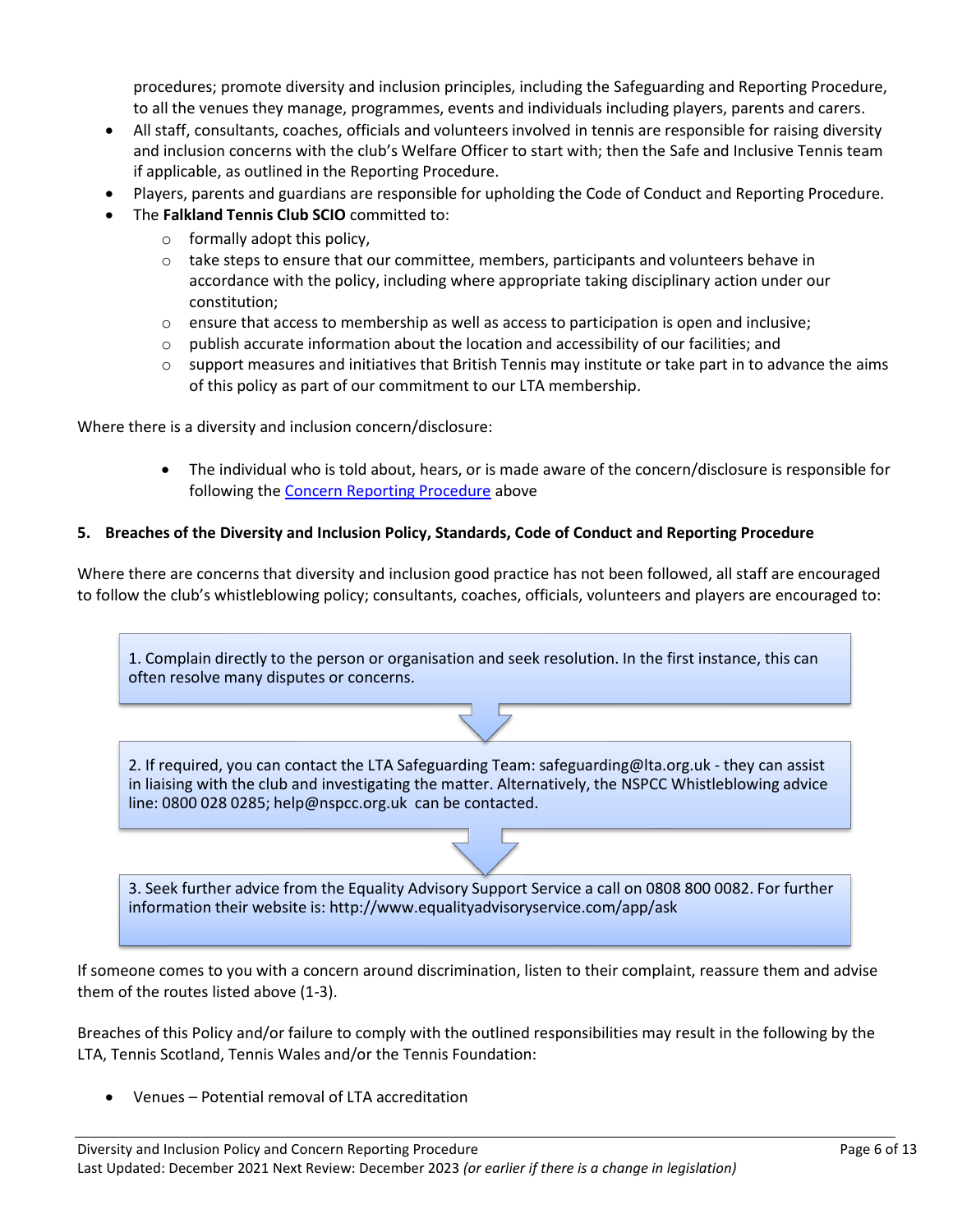procedures; promote diversity and inclusion principles, including the Safeguarding and Reporting Procedure, to all the venues they manage, programmes, events and individuals including players, parents and carers.

- All staff, consultants, coaches, officials and volunteers involved in tennis are responsible for raising diversity and inclusion concerns with the club's Welfare Officer to start with; then the Safe and Inclusive Tennis team if applicable, as outlined in the Reporting Procedure.
- Players, parents and guardians are responsible for upholding the Code of Conduct and Reporting Procedure.
- The **Falkland Tennis Club SCIO** committed to:
	- o formally adopt this policy,
	- $\circ$  take steps to ensure that our committee, members, participants and volunteers behave in accordance with the policy, including where appropriate taking disciplinary action under our constitution;
	- $\circ$  ensure that access to membership as well as access to participation is open and inclusive;
	- $\circ$  publish accurate information about the location and accessibility of our facilities; and
	- $\circ$  support measures and initiatives that British Tennis may institute or take part in to advance the aims of this policy as part of our commitment to our LTA membership.

Where there is a diversity and inclusion concern/disclosure:

• The individual who is told about, hears, or is made aware of the concern/disclosure is responsible for following the [Concern Reporting Procedure](#page-0-0) above

#### **5. Breaches of the Diversity and Inclusion Policy, Standards, Code of Conduct and Reporting Procedure**

Where there are concerns that diversity and inclusion good practice has not been followed, all staff are encouraged to follow the club's whistleblowing policy; consultants, coaches, officials, volunteers and players are encouraged to:

1. Complain directly to the person or organisation and seek resolution. In the first instance, this can often resolve many disputes or concerns.

2. If required, you can contact the LTA Safeguarding Team: safeguarding@lta.org.uk - they can assist in liaising with the club and investigating the matter. Alternatively, the NSPCC Whistleblowing advice line: 0800 028 0285; help@nspcc.org.uk can be contacted.

3. Seek further advice from the Equality Advisory Support Service a call on 0808 800 0082. For further information their website is: http://www.equalityadvisoryservice.com/app/ask

If someone comes to you with a concern around discrimination, listen to their complaint, reassure them and advise them of the routes listed above (1-3).

Breaches of this Policy and/or failure to comply with the outlined responsibilities may result in the following by the LTA, Tennis Scotland, Tennis Wales and/or the Tennis Foundation:

• Venues – Potential removal of LTA accreditation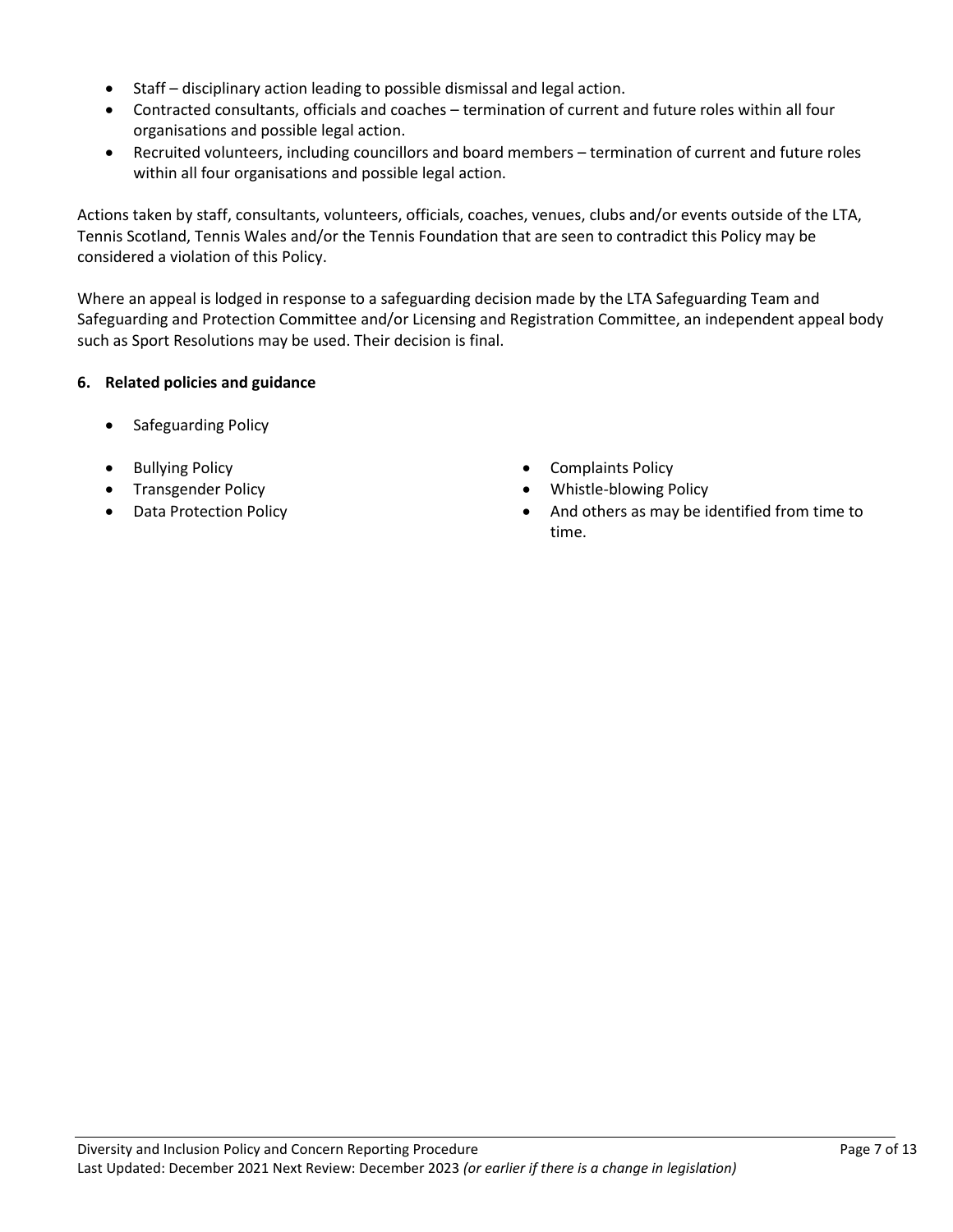- Staff disciplinary action leading to possible dismissal and legal action.
- Contracted consultants, officials and coaches termination of current and future roles within all four organisations and possible legal action.
- Recruited volunteers, including councillors and board members termination of current and future roles within all four organisations and possible legal action.

Actions taken by staff, consultants, volunteers, officials, coaches, venues, clubs and/or events outside of the LTA, Tennis Scotland, Tennis Wales and/or the Tennis Foundation that are seen to contradict this Policy may be considered a violation of this Policy.

Where an appeal is lodged in response to a safeguarding decision made by the LTA Safeguarding Team and Safeguarding and Protection Committee and/or Licensing and Registration Committee, an independent appeal body such as Sport Resolutions may be used. Their decision is final.

#### **6. Related policies and guidance**

- Safeguarding Policy
- 
- 
- 
- Bullying Policy  **Complaints Policy Complaints Policy**
- Transgender Policy  **Whistle-blowing Policy**
- Data Protection Policy  **And others as may be identified from time to** time.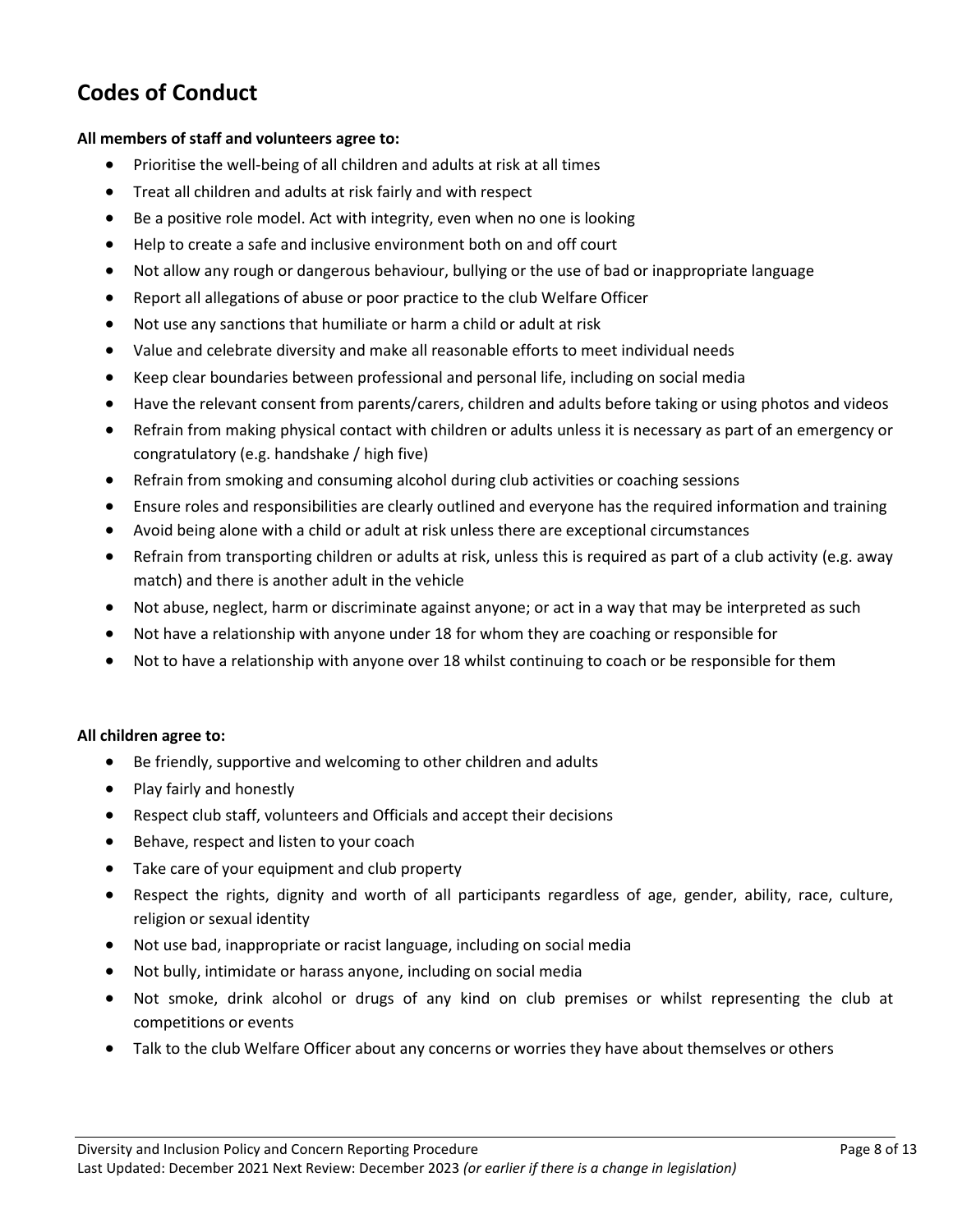## **Codes of Conduct**

#### **All members of staff and volunteers agree to:**

- Prioritise the well-being of all children and adults at risk at all times
- Treat all children and adults at risk fairly and with respect
- Be a positive role model. Act with integrity, even when no one is looking
- Help to create a safe and inclusive environment both on and off court
- Not allow any rough or dangerous behaviour, bullying or the use of bad or inappropriate language
- Report all allegations of abuse or poor practice to the club Welfare Officer
- Not use any sanctions that humiliate or harm a child or adult at risk
- Value and celebrate diversity and make all reasonable efforts to meet individual needs
- Keep clear boundaries between professional and personal life, including on social media
- Have the relevant consent from parents/carers, children and adults before taking or using photos and videos
- Refrain from making physical contact with children or adults unless it is necessary as part of an emergency or congratulatory (e.g. handshake / high five)
- Refrain from smoking and consuming alcohol during club activities or coaching sessions
- Ensure roles and responsibilities are clearly outlined and everyone has the required information and training
- Avoid being alone with a child or adult at risk unless there are exceptional circumstances
- Refrain from transporting children or adults at risk, unless this is required as part of a club activity (e.g. away match) and there is another adult in the vehicle
- Not abuse, neglect, harm or discriminate against anyone; or act in a way that may be interpreted as such
- Not have a relationship with anyone under 18 for whom they are coaching or responsible for
- Not to have a relationship with anyone over 18 whilst continuing to coach or be responsible for them

#### **All children agree to:**

- Be friendly, supportive and welcoming to other children and adults
- Play fairly and honestly
- Respect club staff, volunteers and Officials and accept their decisions
- Behave, respect and listen to your coach
- Take care of your equipment and club property
- Respect the rights, dignity and worth of all participants regardless of age, gender, ability, race, culture, religion or sexual identity
- Not use bad, inappropriate or racist language, including on social media
- Not bully, intimidate or harass anyone, including on social media
- Not smoke, drink alcohol or drugs of any kind on club premises or whilst representing the club at competitions or events
- Talk to the club Welfare Officer about any concerns or worries they have about themselves or others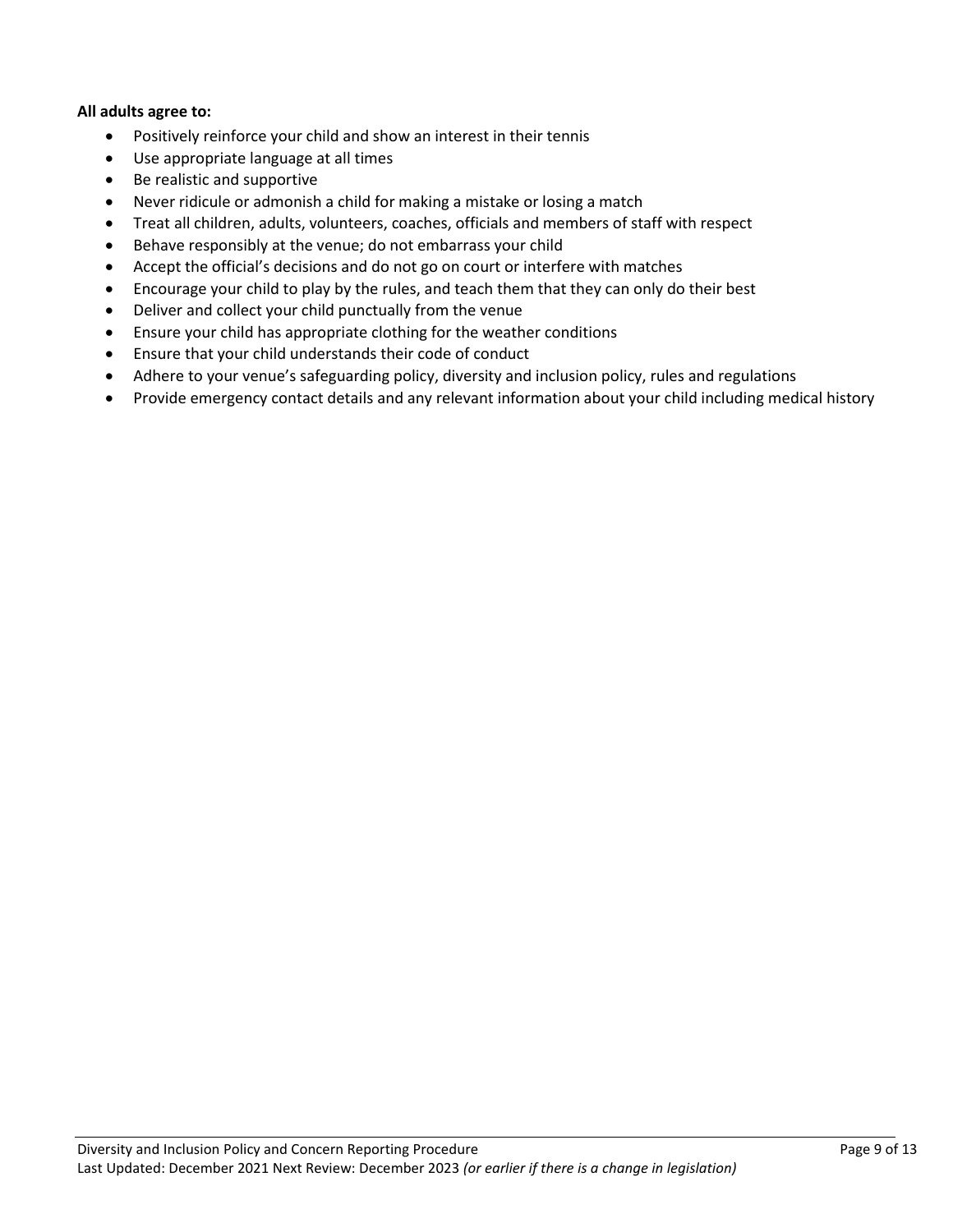#### **All adults agree to:**

- Positively reinforce your child and show an interest in their tennis
- Use appropriate language at all times
- Be realistic and supportive
- Never ridicule or admonish a child for making a mistake or losing a match
- Treat all children, adults, volunteers, coaches, officials and members of staff with respect
- Behave responsibly at the venue; do not embarrass your child
- Accept the official's decisions and do not go on court or interfere with matches
- Encourage your child to play by the rules, and teach them that they can only do their best
- Deliver and collect your child punctually from the venue
- Ensure your child has appropriate clothing for the weather conditions
- Ensure that your child understands their code of conduct
- Adhere to your venue's safeguarding policy, diversity and inclusion policy, rules and regulations
- Provide emergency contact details and any relevant information about your child including medical history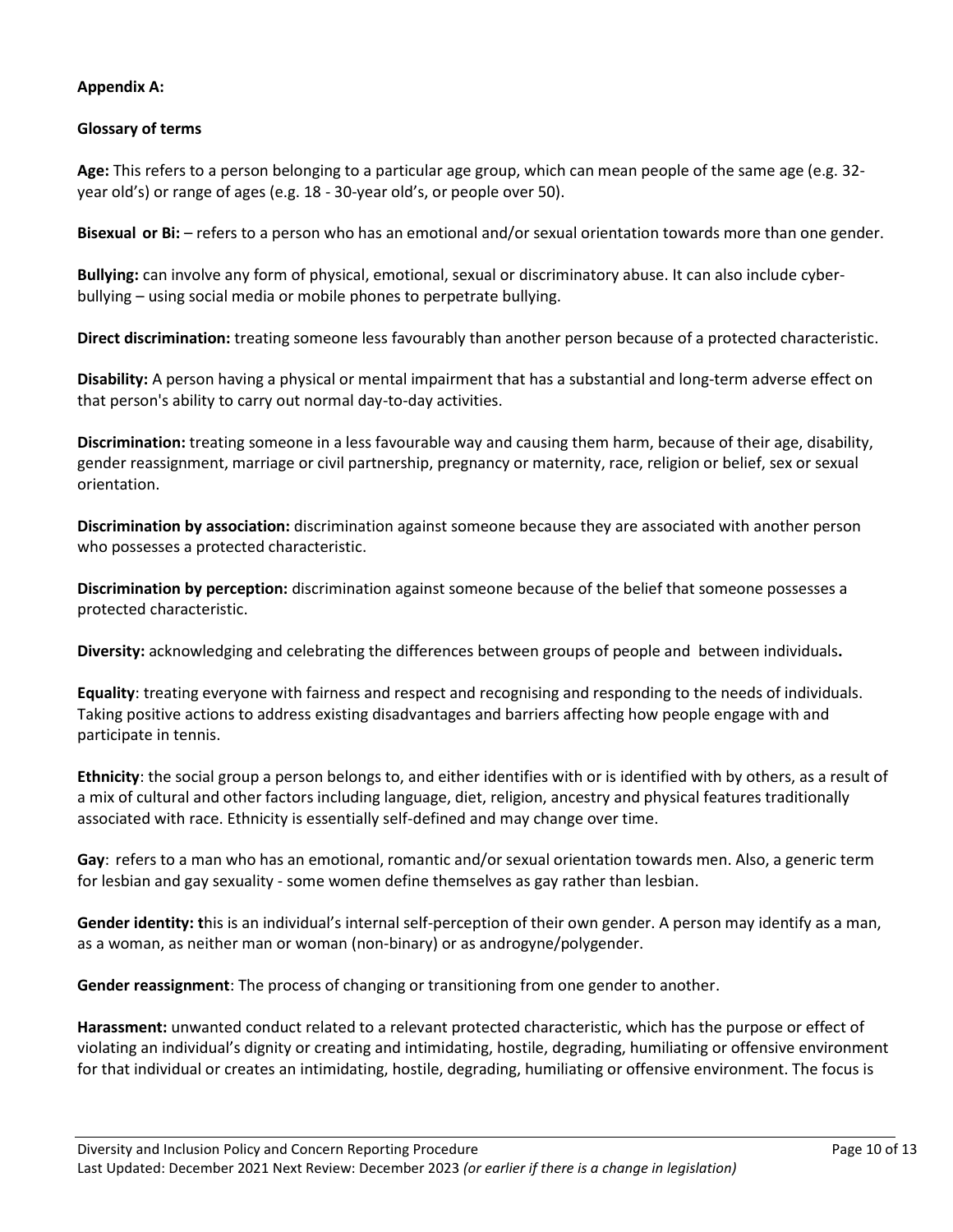#### **Appendix A:**

#### **Glossary of terms**

**Age:** This refers to a person belonging to a particular age group, which can mean people of the same age (e.g. 32 year old's) or range of ages (e.g. 18 - 30-year old's, or people over 50).

**Bisexual or Bi:** – refers to a person who has an emotional and/or sexual orientation towards more than one gender.

**Bullying:** can involve any form of physical, emotional, sexual or discriminatory abuse. It can also include cyberbullying – using social media or mobile phones to perpetrate bullying.

**Direct discrimination:** treating someone less favourably than another person because of a protected characteristic.

**Disability:** A person having a physical or mental impairment that has a substantial and long-term adverse effect on that person's ability to carry out normal day-to-day activities.

**Discrimination:** treating someone in a less favourable way and causing them harm, because of their age, disability, gender reassignment, marriage or civil partnership, pregnancy or maternity, race, religion or belief, sex or sexual orientation.

**Discrimination by association:** discrimination against someone because they are associated with another person who possesses a protected characteristic.

**Discrimination by perception:** discrimination against someone because of the belief that someone possesses a protected characteristic.

**Diversity:** acknowledging and celebrating the differences between groups of people and between individuals**.**

**Equality**: treating everyone with fairness and respect and recognising and responding to the needs of individuals. Taking positive actions to address existing disadvantages and barriers affecting how people engage with and participate in tennis.

**Ethnicity**: the social group a person belongs to, and either identifies with or is identified with by others, as a result of a mix of cultural and other factors including language, diet, religion, ancestry and physical features traditionally associated with race. Ethnicity is essentially self-defined and may change over time.

**Gay**: refers to a man who has an emotional, romantic and/or sexual orientation towards men. Also, a generic term for lesbian and gay sexuality - some women define themselves as gay rather than lesbian.

**Gender identity: t**his is an individual's internal self-perception of their own gender. A person may identify as a man, as a woman, as neither man or woman (non-binary) or as androgyne/polygender.

**Gender reassignment**: The process of changing or transitioning from one gender to another.

**Harassment:** unwanted conduct related to a relevant protected characteristic, which has the purpose or effect of violating an individual's dignity or creating and intimidating, hostile, degrading, humiliating or offensive environment for that individual or creates an intimidating, hostile, degrading, humiliating or offensive environment. The focus is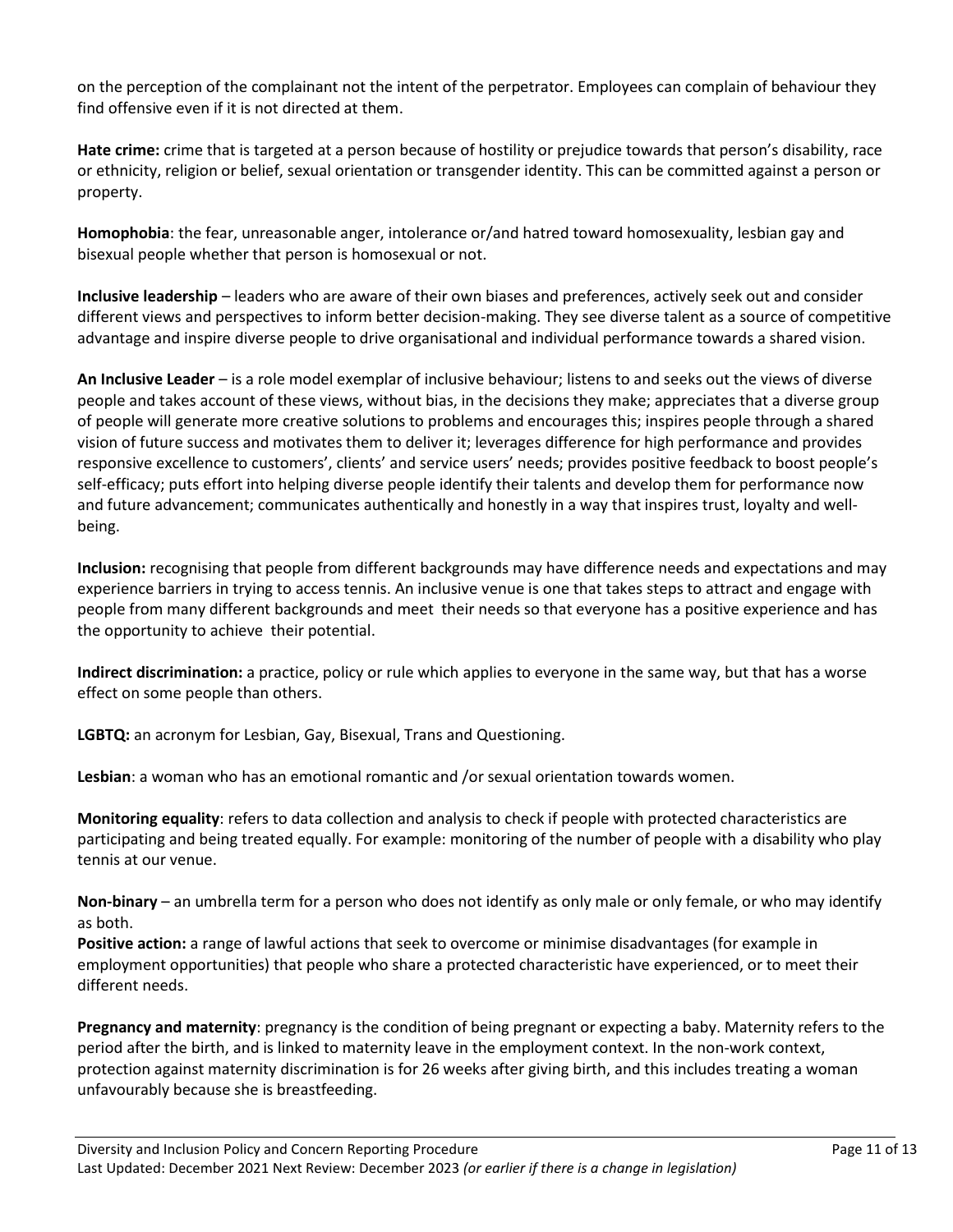on the perception of the complainant not the intent of the perpetrator. Employees can complain of behaviour they find offensive even if it is not directed at them.

**Hate crime:** crime that is targeted at a person because of hostility or prejudice towards that person's disability, race or ethnicity, religion or belief, sexual orientation or transgender identity. This can be committed against a person or property.

**Homophobia**: the fear, unreasonable anger, intolerance or/and hatred toward homosexuality, lesbian gay and bisexual people whether that person is homosexual or not.

**Inclusive leadership** – leaders who are aware of their own biases and preferences, actively seek out and consider different views and perspectives to inform better decision-making. They see diverse talent as a source of competitive advantage and inspire diverse people to drive organisational and individual performance towards a shared vision.

**An Inclusive Leader** – is a role model exemplar of inclusive behaviour; listens to and seeks out the views of diverse people and takes account of these views, without bias, in the decisions they make; appreciates that a diverse group of people will generate more creative solutions to problems and encourages this; inspires people through a shared vision of future success and motivates them to deliver it; leverages difference for high performance and provides responsive excellence to customers', clients' and service users' needs; provides positive feedback to boost people's self-efficacy; puts effort into helping diverse people identify their talents and develop them for performance now and future advancement; communicates authentically and honestly in a way that inspires trust, loyalty and wellbeing.

**Inclusion:** recognising that people from different backgrounds may have difference needs and expectations and may experience barriers in trying to access tennis. An inclusive venue is one that takes steps to attract and engage with people from many different backgrounds and meet their needs so that everyone has a positive experience and has the opportunity to achieve their potential.

**Indirect discrimination:** a practice, policy or rule which applies to everyone in the same way, but that has a worse effect on some people than others.

**LGBTQ:** an acronym for Lesbian, Gay, Bisexual, Trans and Questioning.

**Lesbian**: a woman who has an emotional romantic and /or sexual orientation towards women.

**Monitoring equality**: refers to data collection and analysis to check if people with protected characteristics are participating and being treated equally. For example: monitoring of the number of people with a disability who play tennis at our venue.

**Non-binary** – an umbrella term for a person who does not identify as only male or only female, or who may identify as both.

**Positive action:** a range of lawful actions that seek to overcome or minimise disadvantages (for example in employment opportunities) that people who share a protected characteristic have experienced, or to meet their different needs.

**Pregnancy and maternity**: pregnancy is the condition of being pregnant or expecting a baby. Maternity refers to the period after the birth, and is linked to maternity leave in the employment context. In the non-work context, protection against maternity discrimination is for 26 weeks after giving birth, and this includes treating a woman unfavourably because she is breastfeeding.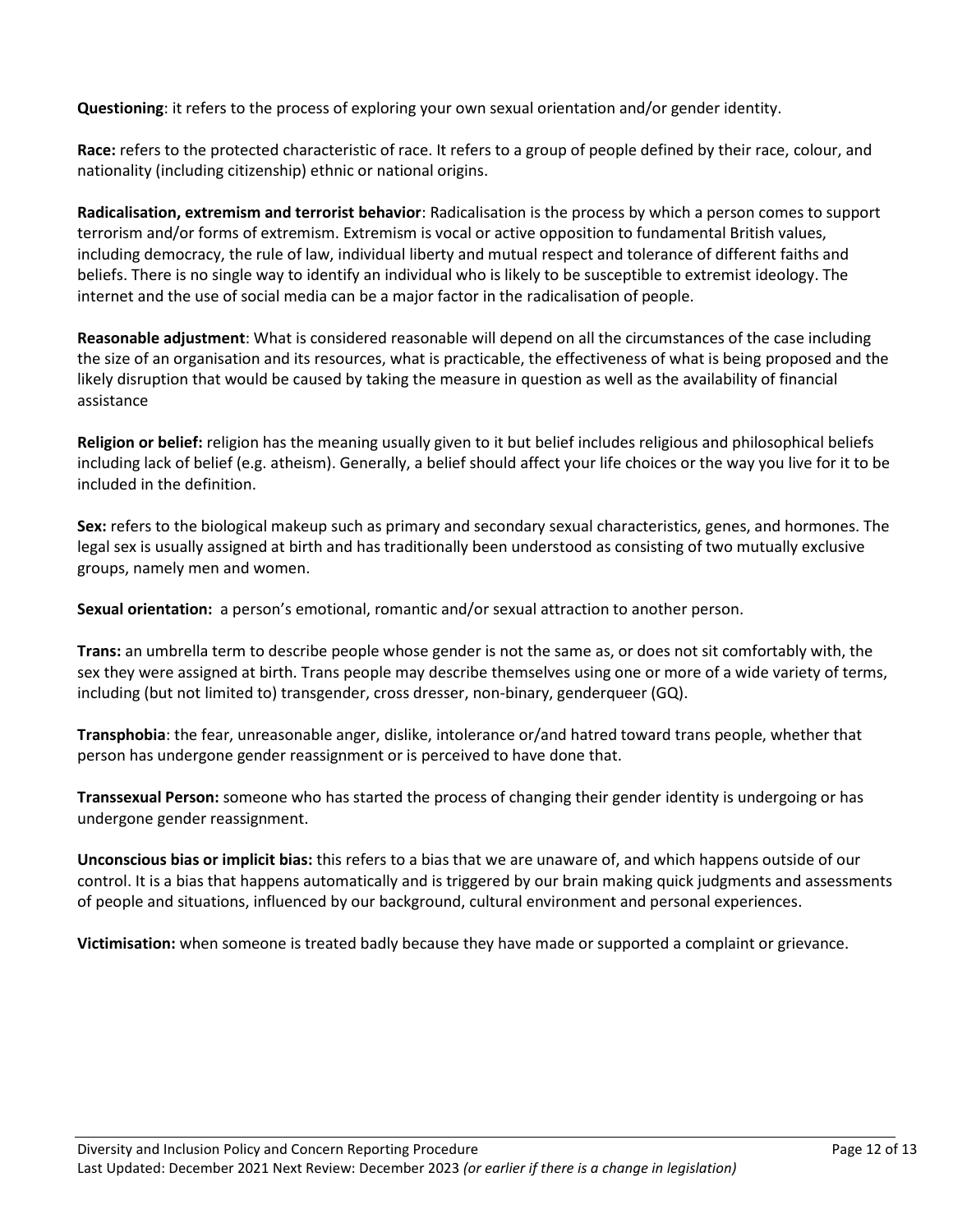**Questioning**: it refers to the process of exploring your own sexual orientation and/or gender identity.

**Race:** refers to the protected characteristic of race. It refers to a group of people defined by their race, colour, and nationality (including citizenship) ethnic or national origins.

**Radicalisation, extremism and terrorist behavior**: Radicalisation is the process by which a person comes to support terrorism and/or forms of extremism. Extremism is vocal or active opposition to fundamental British values, including democracy, the rule of law, individual liberty and mutual respect and tolerance of different faiths and beliefs. There is no single way to identify an individual who is likely to be susceptible to extremist ideology. The internet and the use of social media can be a major factor in the radicalisation of people.

**Reasonable adjustment**: What is considered reasonable will depend on all the circumstances of the case including the size of an organisation and its resources, what is practicable, the effectiveness of what is being proposed and the likely disruption that would be caused by taking the measure in question as well as the availability of financial assistance

**Religion or belief:** religion has the meaning usually given to it but belief includes religious and philosophical beliefs including lack of belief (e.g. atheism). Generally, a belief should affect your life choices or the way you live for it to be included in the definition.

**Sex:** refers to the biological makeup such as primary and secondary sexual characteristics, genes, and hormones. The legal sex is usually assigned at birth and has traditionally been understood as consisting of two mutually exclusive groups, namely men and women.

**Sexual orientation:** a person's emotional, romantic and/or sexual attraction to another person.

**Trans:** an umbrella term to describe people whose gender is not the same as, or does not sit comfortably with, the sex they were assigned at birth. Trans people may describe themselves using one or more of a wide variety of terms, including (but not limited to) transgender, cross dresser, non-binary, genderqueer (GQ).

**Transphobia**: the fear, unreasonable anger, dislike, intolerance or/and hatred toward trans people, whether that person has undergone gender reassignment or is perceived to have done that.

**Transsexual Person:** someone who has started the process of changing their gender identity is undergoing or has undergone gender reassignment.

**Unconscious bias or implicit bias:** this refers to a bias that we are unaware of, and which happens outside of our control. It is a bias that happens automatically and is triggered by our brain making quick judgments and assessments of people and situations, influenced by our background, cultural environment and personal experiences.

**Victimisation:** when someone is treated badly because they have made or supported a complaint or grievance.